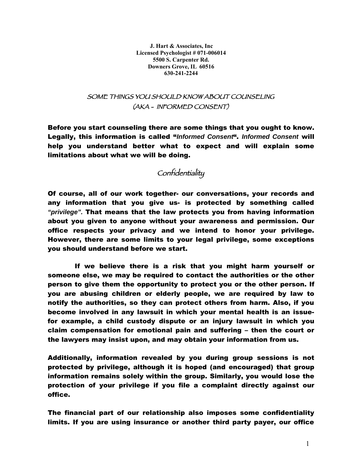**J. Hart & Associates, Inc Licensed Psychologist # 071-006014 5500 S. Carpenter Rd. Downers Grove, IL 60516 630-241-2244**

#### SOME THINGS YOU SHOULD KNOW ABOUT COUNSELING (AKA - INFORMED CONSENT)

Before you start counseling there are some things that you ought to know. Legally, this information is called "*Informed Consent*". *Informed Consent* will help you understand better what to expect and will explain some limitations about what we will be doing.

### **Confidentiality**

Of course, all of our work together- our conversations, your records and any information that you give us- is protected by something called *"privilege".* That means that the law protects you from having information about you given to anyone without your awareness and permission. Our office respects your privacy and we intend to honor your privilege. However, there are some limits to your legal privilege, some exceptions you should understand before we start.

If we believe there is a risk that you might harm yourself or someone else, we may be required to contact the authorities or the other person to give them the opportunity to protect you or the other person. If you are abusing children or elderly people, we are required by law to notify the authorities, so they can protect others from harm. Also, if you become involved in any lawsuit in which your mental health is an issuefor example, a child custody dispute or an injury lawsuit in which you claim compensation for emotional pain and suffering – then the court or the lawyers may insist upon, and may obtain your information from us.

Additionally, information revealed by you during group sessions is not protected by privilege, although it is hoped (and encouraged) that group information remains solely within the group. Similarly, you would lose the protection of your privilege if you file a complaint directly against our office.

The financial part of our relationship also imposes some confidentiality limits. If you are using insurance or another third party payer, our office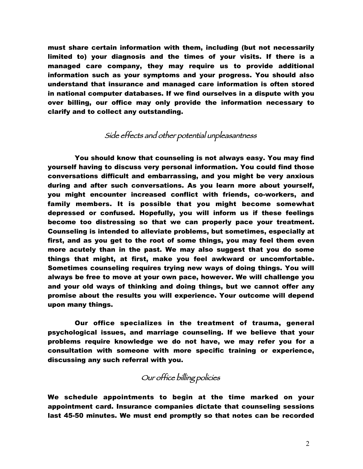must share certain information with them, including (but not necessarily limited to) your diagnosis and the times of your visits. If there is a managed care company, they may require us to provide additional information such as your symptoms and your progress. You should also understand that insurance and managed care information is often stored in national computer databases. If we find ourselves in a dispute with you over billing, our office may only provide the information necessary to clarify and to collect any outstanding.

## Side effects and other potential unpleasantness

You should know that counseling is not always easy. You may find yourself having to discuss very personal information. You could find those conversations difficult and embarrassing, and you might be very anxious during and after such conversations. As you learn more about yourself, you might encounter increased conflict with friends, co-workers, and family members. It is possible that you might become somewhat depressed or confused. Hopefully, you will inform us if these feelings become too distressing so that we can properly pace your treatment. Counseling is intended to alleviate problems, but sometimes, especially at first, and as you get to the root of some things, you may feel them even more acutely than in the past. We may also suggest that you do some things that might, at first, make you feel awkward or uncomfortable. Sometimes counseling requires trying new ways of doing things. You will always be free to move at your own pace, however. We will challenge you and your old ways of thinking and doing things, but we cannot offer any promise about the results you will experience. Your outcome will depend upon many things.

Our office specializes in the treatment of trauma, general psychological issues, and marriage counseling. If we believe that your problems require knowledge we do not have, we may refer you for a consultation with someone with more specific training or experience, discussing any such referral with you.

## Our office billing policies

We schedule appointments to begin at the time marked on your appointment card. Insurance companies dictate that counseling sessions last 45-50 minutes. We must end promptly so that notes can be recorded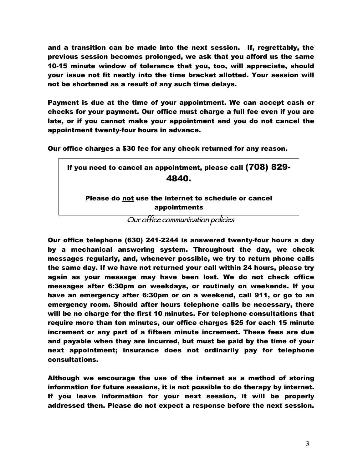and a transition can be made into the next session. If, regrettably, the previous session becomes prolonged, we ask that you afford us the same 10-15 minute window of tolerance that you, too, will appreciate, should your issue not fit neatly into the time bracket allotted. Your session will not be shortened as a result of any such time delays.

Payment is due at the time of your appointment. We can accept cash or checks for your payment. Our office must charge a full fee even if you are late, or if you cannot make your appointment and you do not cancel the appointment twenty-four hours in advance.

Our office charges a \$30 fee for any check returned for any reason.

| If you need to cancel an appointment, please call (708) 829-         |
|----------------------------------------------------------------------|
| 4840.                                                                |
| Please do not use the internet to schedule or cancel<br>appointments |
| .                                                                    |

Our office communication policies

Our office telephone (630) 241-2244 is answered twenty-four hours a day by a mechanical answering system. Throughout the day, we check messages regularly, and, whenever possible, we try to return phone calls the same day. If we have not returned your call within 24 hours, please try again as your message may have been lost. We do not check office messages after 6:30pm on weekdays, or routinely on weekends. If you have an emergency after 6:30pm or on a weekend, call 911, or go to an emergency room. Should after hours telephone calls be necessary, there will be no charge for the first 10 minutes. For telephone consultations that require more than ten minutes, our office charges \$25 for each 15 minute increment or any part of a fifteen minute increment. These fees are due and payable when they are incurred, but must be paid by the time of your next appointment; insurance does not ordinarily pay for telephone consultations.

Although we encourage the use of the internet as a method of storing information for future sessions, it is not possible to do therapy by internet. If you leave information for your next session, it will be properly addressed then. Please do not expect a response before the next session.